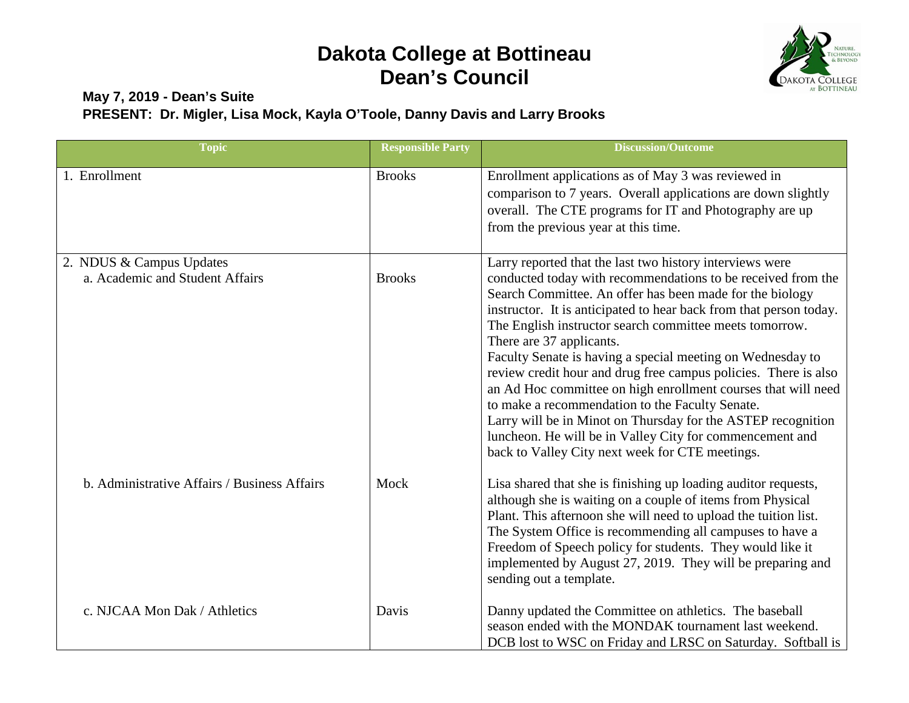

#### **May 7, 2019 - Dean's Suite PRESENT: Dr. Migler, Lisa Mock, Kayla O'Toole, Danny Davis and Larry Brooks**

| <b>Topic</b>                                                | <b>Responsible Party</b> | <b>Discussion/Outcome</b>                                                                                                                                                                                                                                                                                                                                                                                                                                                                                                                                                                                                                                                                                                                                                             |
|-------------------------------------------------------------|--------------------------|---------------------------------------------------------------------------------------------------------------------------------------------------------------------------------------------------------------------------------------------------------------------------------------------------------------------------------------------------------------------------------------------------------------------------------------------------------------------------------------------------------------------------------------------------------------------------------------------------------------------------------------------------------------------------------------------------------------------------------------------------------------------------------------|
| 1. Enrollment                                               | <b>Brooks</b>            | Enrollment applications as of May 3 was reviewed in<br>comparison to 7 years. Overall applications are down slightly<br>overall. The CTE programs for IT and Photography are up<br>from the previous year at this time.                                                                                                                                                                                                                                                                                                                                                                                                                                                                                                                                                               |
| 2. NDUS & Campus Updates<br>a. Academic and Student Affairs | <b>Brooks</b>            | Larry reported that the last two history interviews were<br>conducted today with recommendations to be received from the<br>Search Committee. An offer has been made for the biology<br>instructor. It is anticipated to hear back from that person today.<br>The English instructor search committee meets tomorrow.<br>There are 37 applicants.<br>Faculty Senate is having a special meeting on Wednesday to<br>review credit hour and drug free campus policies. There is also<br>an Ad Hoc committee on high enrollment courses that will need<br>to make a recommendation to the Faculty Senate.<br>Larry will be in Minot on Thursday for the ASTEP recognition<br>luncheon. He will be in Valley City for commencement and<br>back to Valley City next week for CTE meetings. |
| b. Administrative Affairs / Business Affairs                | Mock                     | Lisa shared that she is finishing up loading auditor requests,<br>although she is waiting on a couple of items from Physical<br>Plant. This afternoon she will need to upload the tuition list.<br>The System Office is recommending all campuses to have a<br>Freedom of Speech policy for students. They would like it<br>implemented by August 27, 2019. They will be preparing and<br>sending out a template.                                                                                                                                                                                                                                                                                                                                                                     |
| c. NJCAA Mon Dak / Athletics                                | Davis                    | Danny updated the Committee on athletics. The baseball<br>season ended with the MONDAK tournament last weekend.<br>DCB lost to WSC on Friday and LRSC on Saturday. Softball is                                                                                                                                                                                                                                                                                                                                                                                                                                                                                                                                                                                                        |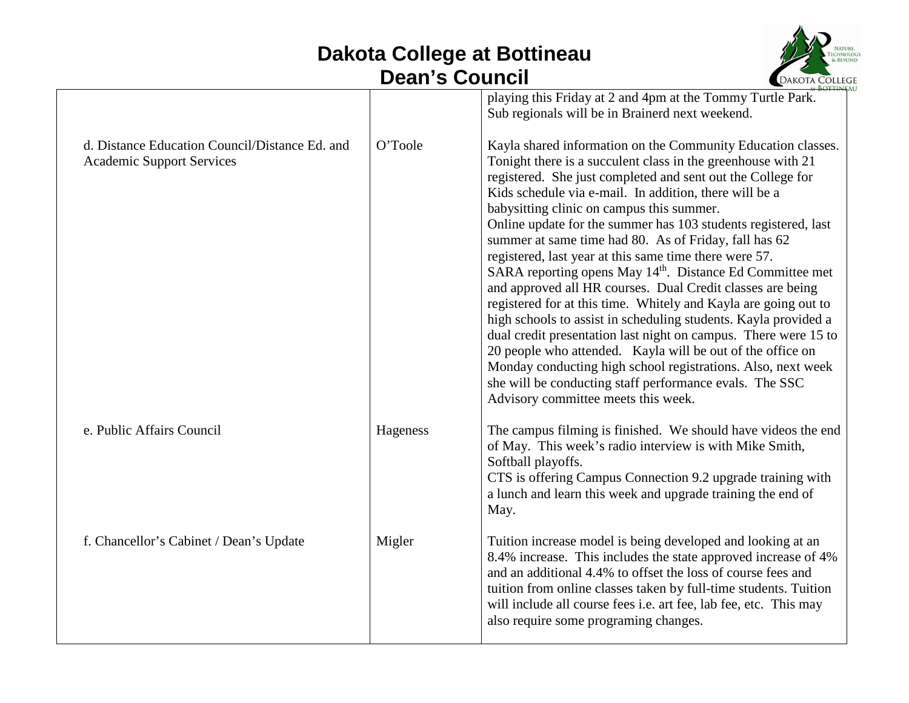

|                                                                                    |          | playing this Friday at 2 and 4pm at the Tommy Turtle Park.<br>Sub regionals will be in Brainerd next weekend.                                                                                                                                                                                                                                                                                                                                                                                                                                                                                                                                                                                                                                                                                                                                                                                                                                                                                                                                                           |
|------------------------------------------------------------------------------------|----------|-------------------------------------------------------------------------------------------------------------------------------------------------------------------------------------------------------------------------------------------------------------------------------------------------------------------------------------------------------------------------------------------------------------------------------------------------------------------------------------------------------------------------------------------------------------------------------------------------------------------------------------------------------------------------------------------------------------------------------------------------------------------------------------------------------------------------------------------------------------------------------------------------------------------------------------------------------------------------------------------------------------------------------------------------------------------------|
| d. Distance Education Council/Distance Ed. and<br><b>Academic Support Services</b> | O'Toole  | Kayla shared information on the Community Education classes.<br>Tonight there is a succulent class in the greenhouse with 21<br>registered. She just completed and sent out the College for<br>Kids schedule via e-mail. In addition, there will be a<br>babysitting clinic on campus this summer.<br>Online update for the summer has 103 students registered, last<br>summer at same time had 80. As of Friday, fall has 62<br>registered, last year at this same time there were 57.<br>SARA reporting opens May 14 <sup>th</sup> . Distance Ed Committee met<br>and approved all HR courses. Dual Credit classes are being<br>registered for at this time. Whitely and Kayla are going out to<br>high schools to assist in scheduling students. Kayla provided a<br>dual credit presentation last night on campus. There were 15 to<br>20 people who attended. Kayla will be out of the office on<br>Monday conducting high school registrations. Also, next week<br>she will be conducting staff performance evals. The SSC<br>Advisory committee meets this week. |
| e. Public Affairs Council                                                          | Hageness | The campus filming is finished. We should have videos the end<br>of May. This week's radio interview is with Mike Smith,<br>Softball playoffs.<br>CTS is offering Campus Connection 9.2 upgrade training with<br>a lunch and learn this week and upgrade training the end of<br>May.                                                                                                                                                                                                                                                                                                                                                                                                                                                                                                                                                                                                                                                                                                                                                                                    |
| f. Chancellor's Cabinet / Dean's Update                                            | Migler   | Tuition increase model is being developed and looking at an<br>8.4% increase. This includes the state approved increase of 4%<br>and an additional 4.4% to offset the loss of course fees and<br>tuition from online classes taken by full-time students. Tuition<br>will include all course fees <i>i.e.</i> art fee, lab fee, etc. This may<br>also require some programing changes.                                                                                                                                                                                                                                                                                                                                                                                                                                                                                                                                                                                                                                                                                  |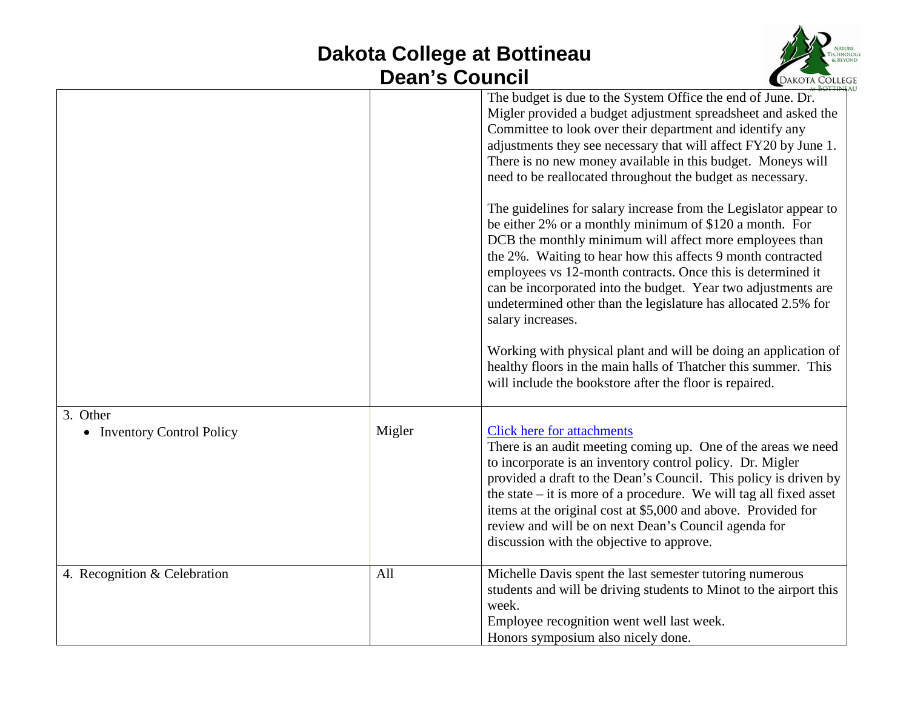

|                              |        | The budget is due to the System Office the end of June. Dr.<br>Migler provided a budget adjustment spreadsheet and asked the<br>Committee to look over their department and identify any<br>adjustments they see necessary that will affect FY20 by June 1.<br>There is no new money available in this budget. Moneys will<br>need to be reallocated throughout the budget as necessary.<br>The guidelines for salary increase from the Legislator appear to<br>be either 2% or a monthly minimum of \$120 a month. For<br>DCB the monthly minimum will affect more employees than<br>the 2%. Waiting to hear how this affects 9 month contracted<br>employees vs 12-month contracts. Once this is determined it<br>can be incorporated into the budget. Year two adjustments are<br>undetermined other than the legislature has allocated 2.5% for<br>salary increases.<br>Working with physical plant and will be doing an application of<br>healthy floors in the main halls of Thatcher this summer. This<br>will include the bookstore after the floor is repaired. |
|------------------------------|--------|--------------------------------------------------------------------------------------------------------------------------------------------------------------------------------------------------------------------------------------------------------------------------------------------------------------------------------------------------------------------------------------------------------------------------------------------------------------------------------------------------------------------------------------------------------------------------------------------------------------------------------------------------------------------------------------------------------------------------------------------------------------------------------------------------------------------------------------------------------------------------------------------------------------------------------------------------------------------------------------------------------------------------------------------------------------------------|
| 3. Other                     |        |                                                                                                                                                                                                                                                                                                                                                                                                                                                                                                                                                                                                                                                                                                                                                                                                                                                                                                                                                                                                                                                                          |
| • Inventory Control Policy   | Migler | <b>Click here for attachments</b><br>There is an audit meeting coming up. One of the areas we need<br>to incorporate is an inventory control policy. Dr. Migler<br>provided a draft to the Dean's Council. This policy is driven by<br>the state $-$ it is more of a procedure. We will tag all fixed asset<br>items at the original cost at \$5,000 and above. Provided for<br>review and will be on next Dean's Council agenda for<br>discussion with the objective to approve.                                                                                                                                                                                                                                                                                                                                                                                                                                                                                                                                                                                        |
| 4. Recognition & Celebration | All    | Michelle Davis spent the last semester tutoring numerous<br>students and will be driving students to Minot to the airport this<br>week.<br>Employee recognition went well last week.<br>Honors symposium also nicely done.                                                                                                                                                                                                                                                                                                                                                                                                                                                                                                                                                                                                                                                                                                                                                                                                                                               |